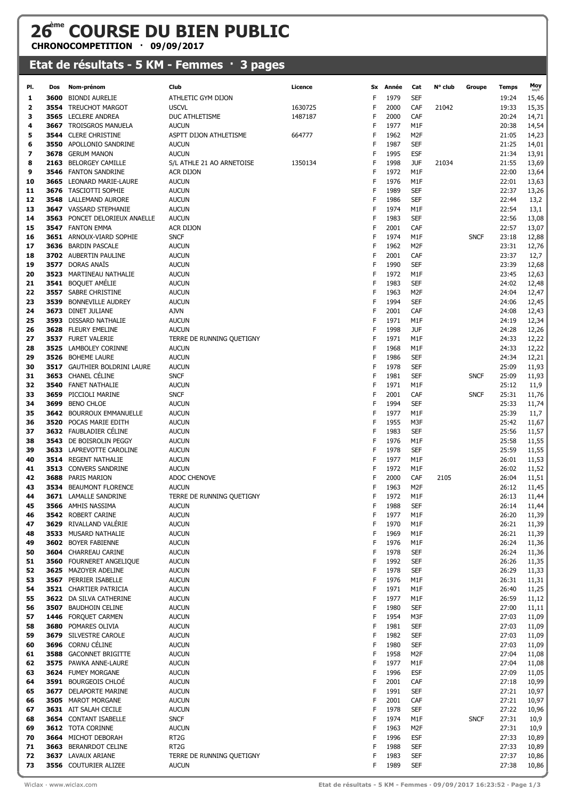## **26ème COURSE DU BIEN PUBLIC**

**CHRONOCOMPETITION · 09/09/2017**

## **Etat de résultats - 5 KM - Femmes · 3 pages**

| PI.      | Dos  | Nom-prénom                                        | Club                         | Licence | Sx     | Année        | Cat               | N° club | Groupe      | Temps          | Moy            |
|----------|------|---------------------------------------------------|------------------------------|---------|--------|--------------|-------------------|---------|-------------|----------------|----------------|
| 1        | 3600 | <b>BIONDI AURELIE</b>                             | ATHLETIC GYM DIJON           |         | F      | 1979         | <b>SEF</b>        |         |             | 19:24          | 15,46          |
| 2        |      | 3554 TREUCHOT MARGOT                              | <b>USCVL</b>                 | 1630725 | F      | 2000         | CAF               | 21042   |             | 19:33          | 15,35          |
| 3        |      | 3565 LECLERE ANDREA                               | DUC ATHLETISME               | 1487187 | F      | 2000         | CAF               |         |             | 20:24          | 14,71          |
| 4        |      | <b>3667 TROISGROS MANUELA</b>                     | <b>AUCUN</b>                 |         | F      | 1977         | M1F               |         |             | 20:38          | 14,54          |
| 5        |      | <b>3544 CLERE CHRISTINE</b>                       | ASPTT DIJON ATHLETISME       | 664777  | F      | 1962         | M <sub>2F</sub>   |         |             | 21:05          | 14,23          |
| 6        |      | 3550 APOLLONIO SANDRINE                           | <b>AUCUN</b>                 |         | F      | 1987         | <b>SEF</b>        |         |             | 21:25          | 14,01          |
| 7        |      | 3678 GERUM MANON                                  | <b>AUCUN</b>                 |         | F      | 1995         | <b>ESF</b>        |         |             | 21:34          | 13,91          |
| 8        | 2163 | <b>BELORGEY CAMILLE</b>                           | S/L ATHLE 21 AO ARNETOISE    | 1350134 | F      | 1998         | <b>JUF</b>        | 21034   |             | 21:55          | 13,69          |
| 9        | 3546 | <b>FANTON SANDRINE</b>                            | ACR DIJON                    |         | F      | 1972         | M1F               |         |             | 22:00          | 13,64          |
| 10       | 3665 | LEONARD MARIE-LAURE                               | <b>AUCUN</b>                 |         | F      | 1976         | M1F               |         |             | 22:01          | 13,63          |
| 11       |      | 3676 TASCIOTTI SOPHIE                             | <b>AUCUN</b>                 |         | F<br>F | 1989<br>1986 | <b>SEF</b>        |         |             | 22:37          | 13,26          |
| 12<br>13 | 3548 | LALLEMAND AURORE<br>3647 VASSARD STEPHANIE        | <b>AUCUN</b><br><b>AUCUN</b> |         | F      | 1974         | <b>SEF</b><br>M1F |         |             | 22:44<br>22:54 | 13,2<br>13,1   |
| 14       |      | 3563 PONCET DELORIEUX ANAELLE                     | <b>AUCUN</b>                 |         | F      | 1983         | <b>SEF</b>        |         |             | 22:56          | 13,08          |
| 15       |      | 3547 FANTON EMMA                                  | ACR DIJON                    |         | F      | 2001         | CAF               |         |             | 22:57          | 13,07          |
| 16       |      | <b>3651</b> ARNOUX-VIARD SOPHIE                   | <b>SNCF</b>                  |         | F      | 1974         | M1F               |         | <b>SNCF</b> | 23:18          | 12,88          |
| 17       |      | 3636 BARDIN PASCALE                               | <b>AUCUN</b>                 |         | F      | 1962         | M <sub>2F</sub>   |         |             | 23:31          | 12,76          |
| 18       |      | 3702 AUBERTIN PAULINE                             | <b>AUCUN</b>                 |         | F      | 2001         | CAF               |         |             | 23:37          | 12,7           |
| 19       |      | 3577 DORAS ANAÏS                                  | <b>AUCUN</b>                 |         | F      | 1990         | <b>SEF</b>        |         |             | 23:39          | 12,68          |
| 20       | 3523 | MARTINEAU NATHALIE                                | <b>AUCUN</b>                 |         | F      | 1972         | M1F               |         |             | 23:45          | 12,63          |
| 21       |      | 3541 BOQUET AMÉLIE                                | <b>AUCUN</b>                 |         | F      | 1983         | <b>SEF</b>        |         |             | 24:02          | 12,48          |
| 22       |      | 3557 SABRE CHRISTINE                              | <b>AUCUN</b>                 |         | F      | 1963         | M2F               |         |             | 24:04          | 12,47          |
| 23       | 3539 | <b>BONNEVILLE AUDREY</b>                          | <b>AUCUN</b>                 |         | F      | 1994         | <b>SEF</b>        |         |             | 24:06          | 12,45          |
| 24       | 3673 | <b>DINET JULIANE</b>                              | <b>AJVN</b>                  |         | F      | 2001         | CAF               |         |             | 24:08          | 12,43          |
| 25       |      | 3593 DISSARD NATHALIE                             | <b>AUCUN</b>                 |         | F      | 1971         | M1F               |         |             | 24:19          | 12,34          |
| 26       |      | 3628 FLEURY EMELINE                               | <b>AUCUN</b>                 |         | F      | 1998         | <b>JUF</b>        |         |             | 24:28          | 12,26          |
| 27<br>28 |      | 3537 FURET VALERIE<br>3525 LAMBOLEY CORINNE       | TERRE DE RUNNING QUETIGNY    |         | F<br>F | 1971<br>1968 | M1F<br>M1F        |         |             | 24:33          | 12,22          |
| 29       |      | 3526 BOHEME LAURE                                 | <b>AUCUN</b><br><b>AUCUN</b> |         | F      | 1986         | <b>SEF</b>        |         |             | 24:33<br>24:34 | 12,22<br>12,21 |
| 30       |      | <b>3517</b> GAUTHIER BOLDRINI LAURE               | <b>AUCUN</b>                 |         | F      | 1978         | <b>SEF</b>        |         |             | 25:09          | 11,93          |
| 31       |      | 3653 CHANEL CÉLINE                                | <b>SNCF</b>                  |         | F      | 1981         | <b>SEF</b>        |         | <b>SNCF</b> | 25:09          | 11,93          |
| 32       | 3540 | FANET NATHALIE                                    | <b>AUCUN</b>                 |         | F      | 1971         | M1F               |         |             | 25:12          | 11,9           |
| 33       |      | 3659 PICCIOLI MARINE                              | <b>SNCF</b>                  |         | F      | 2001         | CAF               |         | <b>SNCF</b> | 25:31          | 11,76          |
| 34       |      | 3699 BENO CHLOE                                   | <b>AUCUN</b>                 |         | F      | 1994         | <b>SEF</b>        |         |             | 25:33          | 11,74          |
| 35       |      | <b>3642 BOURROUX EMMANUELLE</b>                   | <b>AUCUN</b>                 |         | F      | 1977         | M1F               |         |             | 25:39          | 11,7           |
| 36       |      | 3520 POCAS MARIE EDITH                            | <b>AUCUN</b>                 |         | F      | 1955         | M3F               |         |             | 25:42          | 11,67          |
| 37       |      | 3632 FAUBLADIER CÉLINE                            | <b>AUCUN</b>                 |         | F      | 1983         | <b>SEF</b>        |         |             | 25:56          | 11,57          |
| 38       |      | 3543 DE BOISROLIN PEGGY                           | <b>AUCUN</b>                 |         | F      | 1976         | M1F               |         |             | 25:58          | 11,55          |
| 39       |      | 3633 LAPREVOTTE CAROLINE                          | <b>AUCUN</b>                 |         | F      | 1978         | <b>SEF</b>        |         |             | 25:59          | 11,55          |
| 40       |      | 3514 REGENT NATHALIE                              | <b>AUCUN</b>                 |         | F      | 1977         | M1F               |         |             | 26:01          | 11,53          |
| 41       |      | 3513 CONVERS SANDRINE                             | <b>AUCUN</b>                 |         | F<br>F | 1972<br>2000 | M1F<br>CAF        |         |             | 26:02          | 11,52          |
| 42<br>43 |      | 3688 PARIS MARION<br>3534 BEAUMONT FLORENCE       | ADOC CHENOVE<br><b>AUCUN</b> |         | F      | 1963         | M <sub>2F</sub>   | 2105    |             | 26:04<br>26:12 | 11,51<br>11,45 |
| 44       |      | 3671 LAMALLE SANDRINE                             | TERRE DE RUNNING QUETIGNY    |         | F      | 1972         | M1F               |         |             | 26:13          | 11,44          |
| 45       |      | 3566 AMHIS NASSIMA                                | <b>AUCUN</b>                 |         |        | 1988         | <b>SEF</b>        |         |             | 26:14          | 11,44          |
| 46       |      | 3542 ROBERT CARINE                                | <b>AUCUN</b>                 |         | F      | 1977         | M1F               |         |             | 26:20          | 11,39          |
| 47       | 3629 | RIVALLAND VALÉRIE                                 | <b>AUCUN</b>                 |         | F      | 1970         | M1F               |         |             | 26:21          | 11,39          |
| 48       |      | 3533 MUSARD NATHALIE                              | <b>AUCUN</b>                 |         | F      | 1969         | M1F               |         |             | 26:21          | 11,39          |
| 49       |      | 3602 BOYER FABIENNE                               | <b>AUCUN</b>                 |         | F      | 1976         | M1F               |         |             | 26:24          | 11,36          |
| 50       |      | 3604 CHARREAU CARINE                              | <b>AUCUN</b>                 |         | F      | 1978         | <b>SEF</b>        |         |             | 26:24          | 11,36          |
| 51       | 3560 | FOURNERET ANGELIQUE                               | <b>AUCUN</b>                 |         | F      | 1992         | <b>SEF</b>        |         |             | 26:26          | 11,35          |
| 52       |      | 3625 MAZOYER ADELINE                              | <b>AUCUN</b>                 |         | F      | 1978         | <b>SEF</b>        |         |             | 26:29          | 11,33          |
| 53       |      | 3567 PERRIER ISABELLE                             | <b>AUCUN</b>                 |         | F      | 1976         | M1F               |         |             | 26:31          | 11,31          |
| 54<br>55 |      | 3521 CHARTIER PATRICIA<br>3622 DA SILVA CATHERINE | <b>AUCUN</b>                 |         | F<br>F | 1971<br>1977 | M1F<br>M1F        |         |             | 26:40          | 11,25          |
| 56       |      | 3507 BAUDHOIN CELINE                              | <b>AUCUN</b><br><b>AUCUN</b> |         | F      | 1980         | <b>SEF</b>        |         |             | 26:59<br>27:00 | 11,12<br>11,11 |
| 57       |      | 1446 FORQUET CARMEN                               | <b>AUCUN</b>                 |         | F      | 1954         | M3F               |         |             | 27:03          | 11,09          |
| 58       |      | 3680 POMARES OLIVIA                               | <b>AUCUN</b>                 |         | F      | 1981         | <b>SEF</b>        |         |             | 27:03          | 11,09          |
| 59       | 3679 | SILVESTRE CAROLE                                  | <b>AUCUN</b>                 |         | F      | 1982         | <b>SEF</b>        |         |             | 27:03          | 11,09          |
| 60       |      | 3696 CORNU CÉLINE                                 | <b>AUCUN</b>                 |         | F      | 1980         | <b>SEF</b>        |         |             | 27:03          | 11,09          |
| 61       |      | 3588 GACONNET BRIGITTE                            | <b>AUCUN</b>                 |         | F      | 1958         | M2F               |         |             | 27:04          | 11,08          |
| 62       |      | 3575 PAWKA ANNE-LAURE                             | <b>AUCUN</b>                 |         | F      | 1977         | M1F               |         |             | 27:04          | 11,08          |
| 63       |      | 3624 FUMEY MORGANE                                | <b>AUCUN</b>                 |         | F      | 1996         | ESF               |         |             | 27:09          | 11,05          |
| 64       |      | 3591 BOURGEOIS CHLOÉ                              | <b>AUCUN</b>                 |         | F      | 2001         | CAF               |         |             | 27:18          | 10,99          |
| 65       |      | 3677 DELAPORTE MARINE                             | <b>AUCUN</b>                 |         | F      | 1991         | <b>SEF</b>        |         |             | 27:21          | 10,97          |
| 66       |      | 3505 MAROT MORGANE                                | <b>AUCUN</b>                 |         | F      | 2001         | CAF               |         |             | 27:21          | 10,97          |
| 67       |      | 3631 AIT SALAH CECILE<br>3654 CONTANT ISABELLE    | <b>AUCUN</b><br><b>SNCF</b>  |         | F<br>F | 1978<br>1974 | <b>SEF</b><br>M1F |         | <b>SNCF</b> | 27:22<br>27:31 | 10,96          |
| 68<br>69 |      | 3612 TOTA CORINNE                                 | <b>AUCUN</b>                 |         | F      | 1963         | M2F               |         |             | 27:31          | 10,9<br>10,9   |
| 70       |      | 3664 MICHOT DEBORAH                               | RT <sub>2</sub> G            |         | F      | 1996         | <b>ESF</b>        |         |             | 27:33          | 10,89          |
| 71       |      | 3663 BERANRDOT CELINE                             | RT <sub>2</sub> G            |         | F      | 1988         | <b>SEF</b>        |         |             | 27:33          | 10,89          |
| 72       |      | 3637 LAVAUX ARIANE                                | TERRE DE RUNNING QUETIGNY    |         | F      | 1983         | <b>SEF</b>        |         |             | 27:37          | 10,86          |
| 73       |      | 3556 COUTURIER ALIZEE                             | <b>AUCUN</b>                 |         | F      | 1989         | <b>SEF</b>        |         |             | 27:38          | 10,86          |
|          |      |                                                   |                              |         |        |              |                   |         |             |                |                |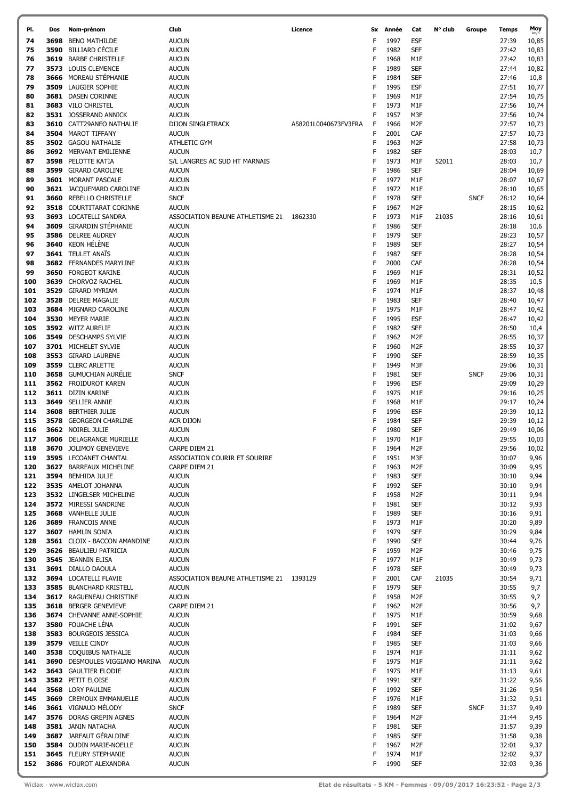| PI.        | Dos  | Nom-prénom                                          | Club                                           | Licence              | Sx          | Année        | Cat                    | N° club | Groupe      | Temps          | Moy            |
|------------|------|-----------------------------------------------------|------------------------------------------------|----------------------|-------------|--------------|------------------------|---------|-------------|----------------|----------------|
| 74         | 3698 | <b>BENO MATHILDE</b>                                | <b>AUCUN</b>                                   |                      | F           | 1997         | <b>ESF</b>             |         |             | 27:39          | 10,85          |
| 75         | 3590 | <b>BILLIARD CÉCILE</b>                              | <b>AUCUN</b>                                   |                      | F           | 1982         | <b>SEF</b>             |         |             | 27:42          | 10,83          |
| 76         | 3619 | <b>BARBE CHRISTELLE</b>                             | <b>AUCUN</b>                                   |                      | F           | 1968         | M1F                    |         |             | 27:42          | 10,83          |
| 77         |      | 3573 LOUIS CLEMENCE                                 | <b>AUCUN</b>                                   |                      | F           | 1989         | <b>SEF</b>             |         |             | 27:44          | 10,82          |
| 78         |      | 3666 MOREAU STÉPHANIE                               | <b>AUCUN</b>                                   |                      | F           | 1984         | <b>SEF</b>             |         |             | 27:46          | 10,8           |
| 79         |      | 3509 LAUGIER SOPHIE                                 | <b>AUCUN</b>                                   |                      | F           | 1995         | <b>ESF</b>             |         |             | 27:51          | 10,77          |
| 80         |      | 3681 DASEN CORINNE                                  | <b>AUCUN</b>                                   |                      | F           | 1969         | M1F                    |         |             | 27:54          | 10,75          |
| 81         |      | 3683 VILO CHRISTEL                                  | <b>AUCUN</b>                                   |                      | $\sf F$     | 1973         | M1F                    |         |             | 27:56          | 10,74          |
| 82         |      | 3531 JOSSERAND ANNICK                               | <b>AUCUN</b>                                   |                      | F           | 1957         | M3F                    |         |             | 27:56          | 10,74          |
| 83         |      | 3610 CATT29ANEO NATHALIE                            | <b>DIJON SINGLETRACK</b>                       | A58201L0040673FV3FRA | F           | 1966         | M <sub>2F</sub>        |         |             | 27:57          | 10,73          |
| 84         |      | 3504 MAROT TIFFANY                                  | <b>AUCUN</b>                                   |                      | F           | 2001         | CAF                    |         |             | 27:57          | 10,73          |
| 85         |      | 3502 GAGOU NATHALIE                                 | ATHLETIC GYM                                   |                      | F           | 1963         | M <sub>2F</sub>        |         |             | 27:58          | 10,73          |
| 86         |      | 3692 MERVANT EMILIENNE                              | <b>AUCUN</b>                                   |                      | F           | 1982         | <b>SEF</b>             |         |             | 28:03          | 10,7           |
| 87         |      | 3598 PELOTTE KATIA                                  | S/L LANGRES AC SUD HT MARNAIS                  |                      | F           | 1973         | M1F                    | 52011   |             | 28:03          | 10,7           |
| 88         |      | 3599 GIRARD CAROLINE                                | <b>AUCUN</b>                                   |                      | F           | 1986         | <b>SEF</b>             |         |             | 28:04          | 10,69          |
| 89         |      | 3601 MORANT PASCALE                                 | <b>AUCUN</b>                                   |                      | F           | 1977<br>1972 | M1F                    |         |             | 28:07          | 10,67          |
| 90<br>91   |      | 3621 JACQUEMARD CAROLINE<br>3660 REBELLO CHRISTELLE | <b>AUCUN</b><br><b>SNCF</b>                    |                      | F<br>F      | 1978         | M1F<br><b>SEF</b>      |         | <b>SNCF</b> | 28:10<br>28:12 | 10,65<br>10,64 |
| 92         |      | 3518 COURTITARAT CORINNE                            | <b>AUCUN</b>                                   |                      | F           | 1967         | M <sub>2F</sub>        |         |             | 28:15          | 10,62          |
| 93         |      | 3693 LOCATELLI SANDRA                               | ASSOCIATION BEAUNE ATHLETISME 21               | 1862330              | F           | 1973         | M1F                    | 21035   |             | 28:16          | 10,61          |
| 94         | 3609 | <b>GIRARDIN STÉPHANIE</b>                           | <b>AUCUN</b>                                   |                      | F           | 1986         | <b>SEF</b>             |         |             | 28:18          | 10,6           |
| 95         |      | 3586 DELREE AUDREY                                  | <b>AUCUN</b>                                   |                      | $\mathsf F$ | 1979         | <b>SEF</b>             |         |             | 28:23          | 10,57          |
| 96         |      | 3640 KEON HÉLÈNE                                    | <b>AUCUN</b>                                   |                      | F           | 1989         | <b>SEF</b>             |         |             | 28:27          | 10,54          |
| 97         |      | <b>3641 TEULET ANAÏS</b>                            | <b>AUCUN</b>                                   |                      | F           | 1987         | <b>SEF</b>             |         |             | 28:28          | 10,54          |
| 98         |      | 3682 FERNANDES MARYLINE                             | <b>AUCUN</b>                                   |                      | F           | 2000         | CAF                    |         |             | 28:28          | 10,54          |
| 99         |      | 3650 FORGEOT KARINE                                 | <b>AUCUN</b>                                   |                      | F           | 1969         | M1F                    |         |             | 28:31          | 10,52          |
| 100        |      | 3639 CHORVOZ RACHEL                                 | <b>AUCUN</b>                                   |                      | F           | 1969         | M1F                    |         |             | 28:35          | 10,5           |
| 101        |      | 3529 GIRARD MYRIAM                                  | <b>AUCUN</b>                                   |                      | F           | 1974         | M1F                    |         |             | 28:37          | 10,48          |
| 102        | 3528 | <b>DELREE MAGALIE</b>                               | <b>AUCUN</b>                                   |                      | F           | 1983         | <b>SEF</b>             |         |             | 28:40          | 10,47          |
| 103        |      | 3684 MIGNARD CAROLINE                               | <b>AUCUN</b>                                   |                      | F           | 1975         | M1F                    |         |             | 28:47          | 10,42          |
| 104        |      | 3530 MEYER MARIE                                    | <b>AUCUN</b>                                   |                      | $\mathsf F$ | 1995         | <b>ESF</b>             |         |             | 28:47          | 10,42          |
| 105        |      | 3592 WITZ AURELIE                                   | <b>AUCUN</b>                                   |                      | F           | 1982         | <b>SEF</b>             |         |             | 28:50          | 10,4           |
| 106        |      | 3549 DESCHAMPS SYLVIE                               | <b>AUCUN</b>                                   |                      | F           | 1962         | M <sub>2F</sub>        |         |             | 28:55          | 10,37          |
| 107        |      | 3701 MICHELET SYLVIE                                | <b>AUCUN</b>                                   |                      | F           | 1960         | M <sub>2F</sub>        |         |             | 28:55          | 10,37          |
| 108        |      | 3553 GIRARD LAURENE                                 | <b>AUCUN</b>                                   |                      | F           | 1990         | <b>SEF</b>             |         |             | 28:59          | 10,35          |
| 109        |      | 3559 CLERC ARLETTE                                  | <b>AUCUN</b>                                   |                      | F           | 1949         | M3F                    |         |             | 29:06          | 10,31          |
| 110        |      | 3658 GUMUCHIAN AURÉLIE                              | <b>SNCF</b>                                    |                      | F           | 1981         | <b>SEF</b>             |         | <b>SNCF</b> | 29:06          | 10,31          |
| 111        |      | 3562 FROIDUROT KAREN                                | <b>AUCUN</b>                                   |                      | F           | 1996         | ESF                    |         |             | 29:09          | 10,29          |
| 112        |      | 3611 DIZIN KARINE                                   | <b>AUCUN</b>                                   |                      | F           | 1975         | M1F                    |         |             | 29:16          | 10,25          |
| 113        |      | 3649 SELLIER ANNIE                                  | <b>AUCUN</b>                                   |                      | F           | 1968         | M1F                    |         |             | 29:17          | 10,24          |
| 114        |      | 3608 BERTHIER JULIE                                 | <b>AUCUN</b>                                   |                      | F           | 1996         | ESF                    |         |             | 29:39          | 10,12          |
| 115        |      | 3578 GEORGEON CHARLINE                              | ACR DIJON                                      |                      | F           | 1984         | <b>SEF</b>             |         |             | 29:39          | 10,12          |
| 116        |      | 3662 NOIREL JULIE                                   | <b>AUCUN</b>                                   |                      | F           | 1980         | <b>SEF</b>             |         |             | 29:49          | 10,06          |
| 117        |      | <b>3606</b> DELAGRANGE MURIELLE                     | <b>AUCUN</b>                                   |                      | F<br>F      | 1970         | M1F                    |         |             | 29:55          | 10,03          |
| 118        |      | 3670 JOLIMOY GENEVIEVE<br>3595 LECOANET CHANTAL     | CARPE DIEM 21<br>ASSOCIATION COURIR ET SOURIRE |                      | F           | 1964<br>1951 | M <sub>2F</sub><br>M3F |         |             | 29:56<br>30:07 | 10,02          |
| 119<br>120 | 3627 | <b>BARREAUX MICHELINE</b>                           | CARPE DIEM 21                                  |                      | F           | 1963         | M2F                    |         |             | 30:09          | 9,96<br>9,95   |
| 121        |      | 3594 BENHIDA JULIE                                  | <b>AUCUN</b>                                   |                      | F           | 1983         | <b>SEF</b>             |         |             | 30:10          | 9,94           |
| 122        |      | 3535 AMELOT JOHANNA                                 | <b>AUCUN</b>                                   |                      | F           | 1992         | <b>SEF</b>             |         |             | 30:10          | 9,94           |
| 123        |      | 3532 LINGELSER MICHELINE                            | <b>AUCUN</b>                                   |                      | F           | 1958         | M <sub>2F</sub>        |         |             | 30:11          | 9,94           |
| 124        |      | 3572 MIRESSI SANDRINE                               | <b>AUCUN</b>                                   |                      | F           | 1981         | <b>SEF</b>             |         |             | 30:12          | 9,93           |
| 125        |      | 3668 VANHELLE JULIE                                 | <b>AUCUN</b>                                   |                      | F           | 1989         | <b>SEF</b>             |         |             | 30:16          | 9,91           |
| 126        |      | 3689 FRANCOIS ANNE                                  | <b>AUCUN</b>                                   |                      | F           | 1973         | M1F                    |         |             | 30:20          | 9,89           |
| 127        |      | 3607 HAMLIN SONIA                                   | <b>AUCUN</b>                                   |                      | F           | 1979         | <b>SEF</b>             |         |             | 30:29          | 9,84           |
| 128        |      | 3561 CLOIX - BACCON AMANDINE                        | <b>AUCUN</b>                                   |                      | F           | 1990         | <b>SEF</b>             |         |             | 30:44          | 9,76           |
| 129        |      | 3626 BEAULIEU PATRICIA                              | <b>AUCUN</b>                                   |                      | F           | 1959         | M2F                    |         |             | 30:46          | 9,75           |
| 130        |      | 3545 JEANNIN ELISA                                  | <b>AUCUN</b>                                   |                      | F           | 1977         | M1F                    |         |             | 30:49          | 9,73           |
| 131        |      | 3691 DIALLO DAOULA                                  | <b>AUCUN</b>                                   |                      | F           | 1978         | <b>SEF</b>             |         |             | 30:49          | 9,73           |
| 132        |      | 3694 LOCATELLI FLAVIE                               | ASSOCIATION BEAUNE ATHLETISME 21 1393129       |                      | F           | 2001         | CAF                    | 21035   |             | 30:54          | 9,71           |
| 133        |      | 3585 BLANCHARD KRISTELL                             | <b>AUCUN</b>                                   |                      | F           | 1979         | <b>SEF</b>             |         |             | 30:55          | 9,7            |
| 134        |      | 3617 RAGUENEAU CHRISTINE                            | <b>AUCUN</b>                                   |                      | F           | 1958         | M <sub>2F</sub>        |         |             | 30:55          | 9,7            |
| 135        |      | 3618 BERGER GENEVIEVE                               | CARPE DIEM 21                                  |                      | F           | 1962         | M <sub>2F</sub>        |         |             | 30:56          | 9,7            |
| 136        |      | 3674 CHEVANNE ANNE-SOPHIE                           | <b>AUCUN</b>                                   |                      | F           | 1975         | M1F                    |         |             | 30:59          | 9,68           |
| 137        |      | 3580 FOUACHE LÉNA                                   | <b>AUCUN</b>                                   |                      | F           | 1991         | <b>SEF</b>             |         |             | 31:02          | 9,67           |
| 138        |      | 3583 BOURGEOIS JESSICA                              | <b>AUCUN</b>                                   |                      | F           | 1984         | <b>SEF</b>             |         |             | 31:03          | 9,66           |
| 139        |      | 3579 VEILLE CINDY                                   | <b>AUCUN</b>                                   |                      | $\mathsf F$ | 1985         | <b>SEF</b>             |         |             | 31:03          | 9,66           |
| 140        |      | 3538 COQUIBUS NATHALIE                              | <b>AUCUN</b>                                   |                      | $\mathsf F$ | 1974         | M1F                    |         |             | 31:11          | 9,62           |
| 141        |      | 3690 DESMOULES VIGGIANO MARINA                      | <b>AUCUN</b>                                   |                      | F<br>F      | 1975<br>1975 | M1F                    |         |             | 31:11          | 9,62           |
| 142<br>143 |      | <b>3643</b> GAULTIER ELODIE<br>3582 PETIT ELOISE    | <b>AUCUN</b><br><b>AUCUN</b>                   |                      | F           | 1991         | M1F<br><b>SEF</b>      |         |             | 31:13<br>31:22 | 9,61<br>9,56   |
| 144        |      | 3568 LORY PAULINE                                   | <b>AUCUN</b>                                   |                      | F           | 1992         | <b>SEF</b>             |         |             | 31:26          | 9,54           |
| 145        |      | 3669 CREMOUX EMMANUELLE                             | <b>AUCUN</b>                                   |                      | F           | 1976         | M1F                    |         |             | 31:32          | 9,51           |
| 146        |      | 3661 VIGNAUD MELODY                                 | <b>SNCF</b>                                    |                      | F           | 1989         | <b>SEF</b>             |         | <b>SNCF</b> | 31:37          | 9,49           |
| 147        |      | 3576 DORAS GREPIN AGNES                             | <b>AUCUN</b>                                   |                      | F           | 1964         | M <sub>2F</sub>        |         |             | 31:44          | 9,45           |
| 148        |      | 3581 JANIN NATACHA                                  | <b>AUCUN</b>                                   |                      | F           | 1981         | <b>SEF</b>             |         |             | 31:57          | 9,39           |
| 149        |      | 3687 JARFAUT GÉRALDINE                              | <b>AUCUN</b>                                   |                      | F           | 1985         | <b>SEF</b>             |         |             | 31:58          | 9,38           |
| 150        |      | 3584 OUDIN MARIE-NOELLE                             | <b>AUCUN</b>                                   |                      | F           | 1967         | M2F                    |         |             | 32:01          | 9,37           |
| 151        |      | 3645 FLEURY STEPHANIE                               | <b>AUCUN</b>                                   |                      | F           | 1974         | M1F                    |         |             | 32:02          | 9,37           |
| 152        |      | 3686 FOUROT ALEXANDRA                               | <b>AUCUN</b>                                   |                      | F           | 1990         | <b>SEF</b>             |         |             | 32:03          | 9,36           |